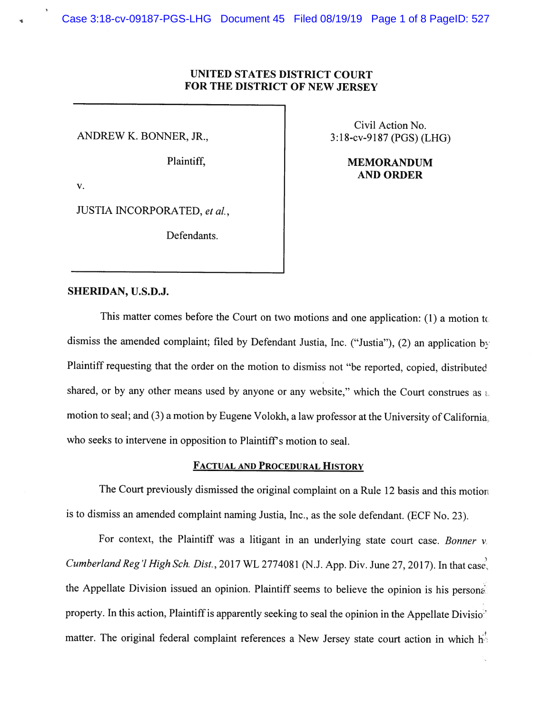# UNITED STATES DISTRICT COURT FOR THE DISTRICT OF NEW JERSEY

v.

JUSTIA INCORPORATED, et al.,

Defendants.

Civil Action No. ANDREW K. BONNER, JR., 3:18-cv-9187 (PGS) (LHG)

> Plaintiff, MEMORANDUM AND ORDER

## SHERIDAN, U.S.D.J.

This matter comes before the Court on two motions and one application: (1) a motion  $t_0$ dismiss the amended complaint; filed by Defendant Justia, Inc. ("Justia"), (2) an application by Plaintiff requesting that the order on the motion to dismiss not "be reported, copied, distributed shared, or by any other means used by anyone or any website," which the Court construes as a motion to seal; and (3) <sup>a</sup> motion by Eugene Volokh, <sup>a</sup> law professor at the University of California. who seeks to intervene in opposition to Plaintiff's motion to seal.

## FACTUAL AND PROCEDURAL HISTORY

The Court previously dismissed the original complaint on <sup>a</sup> Rule <sup>12</sup> basis and this motion is to dismiss an amended complaint naming Justia, Inc., as the sole defendant. (ECF No. 23).

For context, the Plaintiff was a litigant in an underlying state court case. Bonner  $v$ . Cumberland Reg'l High Sch. Dist., 2017 WL 2774081 (N.J. App. Div. June 27, 2017). In that case, the Appellate Division issued an opinion. Plaintiff seems to believe the opinion is his personal property. In this action, Plaintiff is apparently seeking to seal the opinion in the Appellate Divisio<sup>n</sup> matter. The original federal complaint references a New Jersey state court action in which h<sup>3</sup>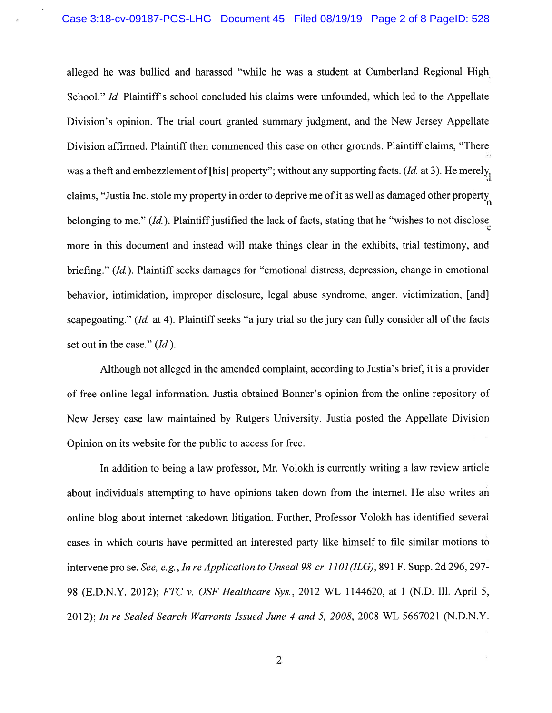alleged he was bullied and harassed "while he was <sup>a</sup> student at Cumberland Regional High School." *Id.* Plaintiff's school concluded his claims were unfounded, which led to the Appellate Division's opinion. The trial court granted summary judgment, and the New Jersey Appellate Division affirmed. Plaintiff then commenced this case on other grounds. Plaintiff claims, "There was a theft and embezzlement of [his] property"; without any supporting facts. (*Id.* at 3). He merely, claims, "Justia Inc. stole my property in order to deprive me of it as well as damaged other property belonging to me."  $(Id)$ . Plaintiff justified the lack of facts, stating that he "wishes to not disclose" more in this document and instead will make things clear in the exhibits, trial testimony, and briefing." (Id). Plaintiff seeks damages for "emotional distress, depression, change in emotional behavior, intimidation, improper disclosure, legal abuse syndrome, anger, victimization, [and] scapegoating." (Id. at 4). Plaintiff seeks "a jury trial so the jury can fully consider all of the facts set out in the case." (*Id.*).

Although not alleged in the amended complaint, according to Justia's brief, it is <sup>a</sup> provider of free online legal information. Justia obtained Bonner's opinion from the online repository of New Jersey case law maintained by Rutgers University. Justia posted the Appellate Division Opinion on its website for the public to access for free.

In addition to being <sup>a</sup> law professor, Mr. Volokh is currently writing <sup>a</sup> law review article about individuals attempting to have opinions taken down from the internet. He also writes an online blog about internet takedown litigation. Further, Professor Volokh has identified several cases in which courts have permitted an interested party like himself to file similar motions to intervene pro se. See, e.g., In re Application to Unseal 98-cr-1101(ILG), 891 F. Supp. 2d 296, 297-98 (E.D.N.Y. 2012); FTC v. OSF Healthcare Sys., 2012 WL 1144620, at I (N.D. Ill. April 5, 2012); In re Sealed Search Warrants Issued June 4 and 5, 2008, 2008 WL 5667021 (N.D.N.Y.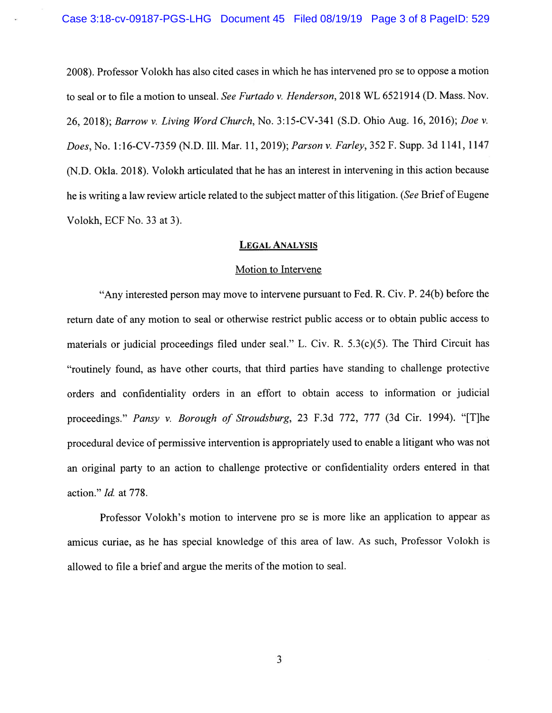2008). Professor Volokh has also cited cases in which he has intervened pro se to oppose <sup>a</sup> motion to seal or to file <sup>a</sup> motion to unseal. See Furtado v. Henderson, 2018 WL 6521914 (D. Mass. Nov. 26, 2018); Barrow v. Living Word Church, No. 3:15-CV-341 (S.D. Ohio Aug. 16, 2016); Doe v. Does, No. 1:16-CV-7359 (N.D. Ill. Mar. 11,2019); Parson v. Farley, 352 F. Supp. 3d 1141, 1147 (N.D. Okla. 2018). Volokh articulated that he has an interest in intervening in this action because he is writing a law review article related to the subject matter of this litigation. (See Brief of Eugene Volokh, ECF No. 33 at 3).

## LEGAL ANALYSIS

#### Motion to Intervene

"Any interested person may move to intervene pursuan<sup>t</sup> to Fed. R. Civ. P. 24(b) before the return date of any motion to seal or otherwise restrict public access or to obtain public access to materials or judicial proceedings filed under seal." L. Civ. R. 5.3(c)(5). The Third Circuit has "routinely found, as have other courts, that third parties have standing to challenge protective orders and confidentiality orders in an effort to obtain access to information or judicial proceedings." Pansy v. Borough of Stroudsburg, <sup>23</sup> F.3d 772, <sup>777</sup> (3d Cir. 1994). "[T]he procedural device of permissive intervention is appropriately used to enable <sup>a</sup> litigant who was not an original party to an action to challenge protective or confidentiality orders entered in that action." Id. at 778.

Professor Volokh's motion to intervene pro se is more like an application to appear as amicus curiae, as he has special knowledge of this area of law. As such, Professor Volokh is allowed to file <sup>a</sup> brief and argue the merits of the motion to seal.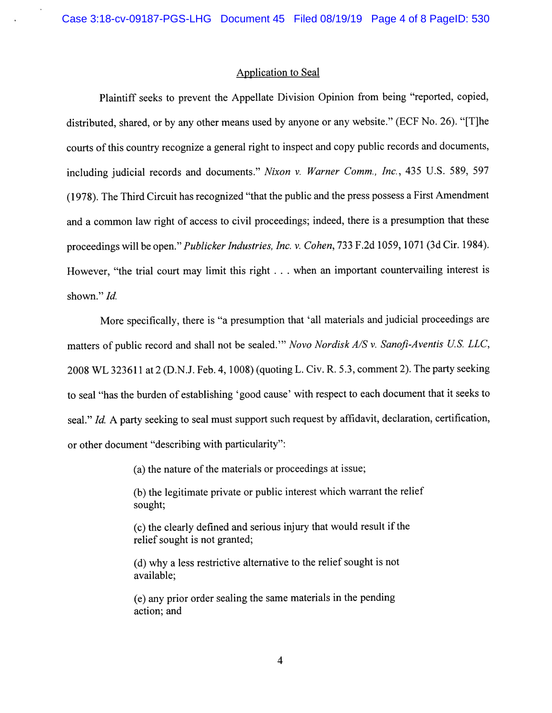### Application to Seal

Plaintiff seeks to preven<sup>t</sup> the Appellate Division Opinion from being "reported, copied, distributed, shared, or by any other means used by anyone or any website." (ECF No. 26). "[T]he courts of this country recognize <sup>a</sup> genera<sup>l</sup> right to inspect and copy public records and documents, including judicial records and documents." Nixon v. Warner Comm., Inc., 435 U.S. 589, 597 (1978). The Third Circuit has recognized "that the public and the press possess <sup>a</sup> First Amendment and <sup>a</sup> common law right of access to civil proceedings; indeed, there is <sup>a</sup> presumption that these proceedings will be open." Publicker Industries, Inc. v. Cohen, <sup>733</sup> F.2d 1059, <sup>1071</sup> (3d Cir. 1984). However, "the trial court may limit this right . . . when an important countervailing interest is shown." Id.

More specifically, there is "a presumption that 'all materials and judicial proceedings are matters of public record and shall not be sealed." Novo Nordisk A/S v. Sanofi-Aventis U.S. LLC, <sup>2008</sup> WL 323611 at <sup>2</sup> (D.N.J. Feb. 4, 1008) (quoting L. Civ. R. 5.3, comment 2). The party seeking to seal "has the burden of establishing 'good cause' with respec<sup>t</sup> to each document that it seeks to seal." Id. A party seeking to seal must support such request by affidavit, declaration, certification, or other document "describing with particularity":

(a) the nature of the materials or proceedings at issue;

(b) the legitimate private or public interest which warrant the relief sought;

(c) the clearly defined and serious injury that would result if the relief sought is not granted;

(d) why <sup>a</sup> less restrictive alternative to the relief sought is not available;

(e) any prior order sealing the same materials in the pending action; and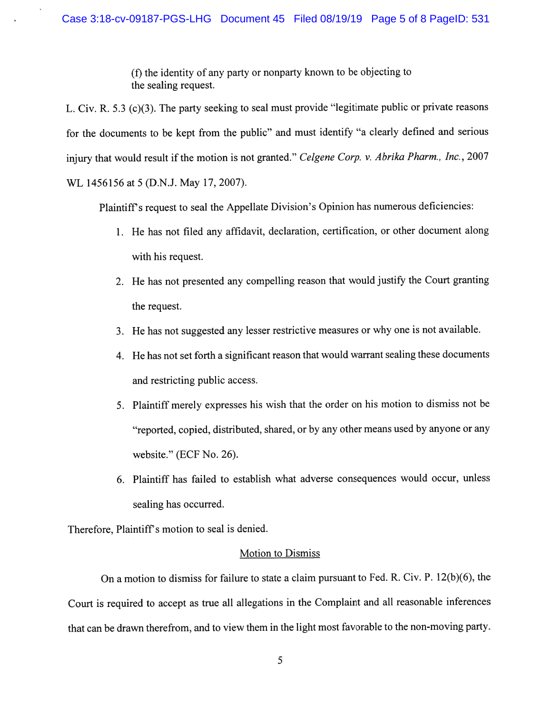(f) the identity of any party or nonparty known to be objecting to the sealing request.

L. Civ. R. 5.3 (c)(3). The party seeking to seal must provide "legitimate public or private reasons for the documents to be kept from the public" and must identify "a clearly defined and serious injury that would result if the motion is not granted." Celgene Corp. v. Abrika Pharm., Inc., 2007 WL 1456156 at 5 (D.N.J. May 17, 2007).

Plaintiff's request to seal the Appellate Division's Opinion has numerous deficiencies:

- 1. He has not filed any affidavit, declaration, certification, or other document along with his request.
- 2. He has not presented any compelling reason that would justify the Court granting the request.
- 3. He has not suggested any lesser restrictive measures or why one is not available.
- 4. He has not set forth <sup>a</sup> significant reason that would warrant sealing these documents and restricting public access.
- 5. Plaintiff merely expresses his wish that the order on his motion to dismiss not be "reported, copied, distributed, shared, or by any other means used by anyone or any website." (ECF No. 26).
- 6. Plaintiff has failed to establish what adverse consequences would occur, unless sealing has occurred.

Therefore, Plaintiff's motion to seal is denied.

#### Motion to Dismiss

On <sup>a</sup> motion to dismiss for failure to state <sup>a</sup> claim pursuan<sup>t</sup> to Fed. R. Civ. P. 12(b)(6), the Court is required to accep<sup>t</sup> as true all allegations in the Complaint and all reasonable inferences that can be drawn therefrom, and to view them in the light most favorable to the non-moving party.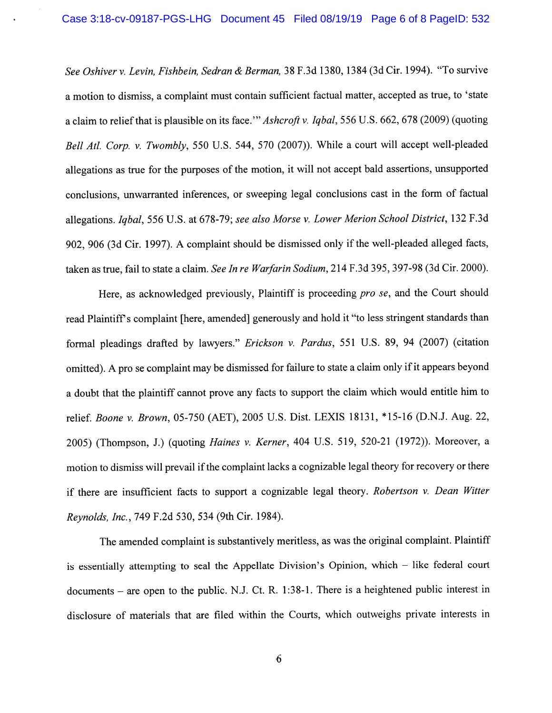See Oshiver v. Levin, Fishbein, Sedran & Berman, 38 F.3d 1380, 1384 (3d Cir. 1994). "To survive <sup>a</sup> motion to dismiss, <sup>a</sup> complaint must contain sufficient factual matter, accepted as true, to 'state a claim to relief that is plausible on its face." Ashcroft v. Iqbal, 556 U.S. 662, 678 (2009) (quoting Bell Atl. Corp. v. Twombly, 550 U.S. 544, 570 (2007)). While a court will accept well-pleaded allegations as true for the purposes of the motion, it will not accep<sup>t</sup> bald assertions, unsupported conclusions, unwarranted inferences, or sweeping legal conclusions cast in the form of factual allegations. Iqbal, <sup>556</sup> U.S. at 678-79; see also Morse v. Lower Merion School District, <sup>132</sup> F.3d 902, <sup>906</sup> (3d Cir. 1997). <sup>A</sup> complaint should be dismissed only if the well-pleaded alleged facts, taken as true, fail to state <sup>a</sup> claim. See In re Warfarin Sodium, 214 F.3d 395, 397-98 (3d Cir. 2000).

Here, as acknowledged previously, Plaintiff is proceeding pro se, and the Court should read Plaintiff's complaint [here, amended] generously and hold it "to less stringent standards than formal pleadings drafted by lawyers." Erickson v. Pardus, 551 U.S. 89, 94 (2007) (citation omitted). A pro se complaint may be dismissed for failure to state a claim only if it appears beyond <sup>a</sup> doubt that the <sup>p</sup>laintiff cannot prove any facts to suppor<sup>t</sup> the claim which would entitle him to relief. Boone v. Brown, 05-750 (AET), <sup>2005</sup> U.S. Dist. LEXIS 18131, \*15.46 (D.N.J. Aug. 22, 2005) (Thompson, J.) (quoting Haines v. Kerner, <sup>404</sup> U.S. 519, 520-21 (1972)). Moreover, <sup>a</sup> motion to dismiss will prevail if the complaint lacks a cognizable legal theory for recovery or there if there are insufficient facts to suppor<sup>t</sup> <sup>a</sup> cognizable legal theory. Robertson v. Dean Witter Reynolds, Inc., <sup>749</sup> F.2d 530, 534 (9th Cir. 1984).

The amended complaint is substantively meritless, as was the original complaint. Plaintiff is essentially attempting to seal the Appellate Division's Opinion, which — like federal court documents — are open to the public. N.J. Ct. R. 1:38-1. There is <sup>a</sup> heightened public interest in disclosure of materials that are filed within the Courts, which outweighs private interests in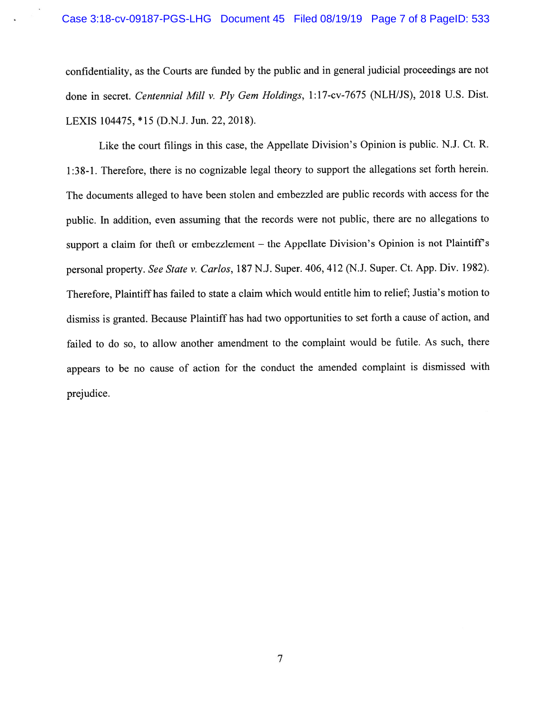confidentiality, as the Courts are funded by the public and in genera<sup>l</sup> judicial proceedings are not done in secret. Centennial Mill v. Ply Gem Holdings, 1:17-cv-7675 (NLH/JS), <sup>2018</sup> U.S. Dist. LEXIS 104475, \*15 (D.N.J. Jun. 22, 2018).

Like the court filings in this case, the Appellate Division's Opinion is public. N.J. Ct. R. 1:38-1. Therefore, there is no cognizable legal theory to suppor<sup>t</sup> the allegations set forth herein. The documents alleged to have been stolen and embezzled are public records with access for the public. In addition, even assuming that the records were not public, there are no allegations to support a claim for theft or embezzlement – the Appellate Division's Opinion is not Plaintiff's personal property. See State v. Carlos, 187 N.J. Super. 406, 412 (N.J. Super. Ct. App. Div. 1982). Therefore, Plaintiff has failed to state <sup>a</sup> claim which would entitle him to relief; Justia's motion to dismiss is granted. Because Plaintiff has had two opportunities to set forth <sup>a</sup> cause of action, and failed to do so, to allow another amendment to the complaint would be futile. As such, there appears to be no cause of action for the conduct the amended complaint is dismissed with prejudice.